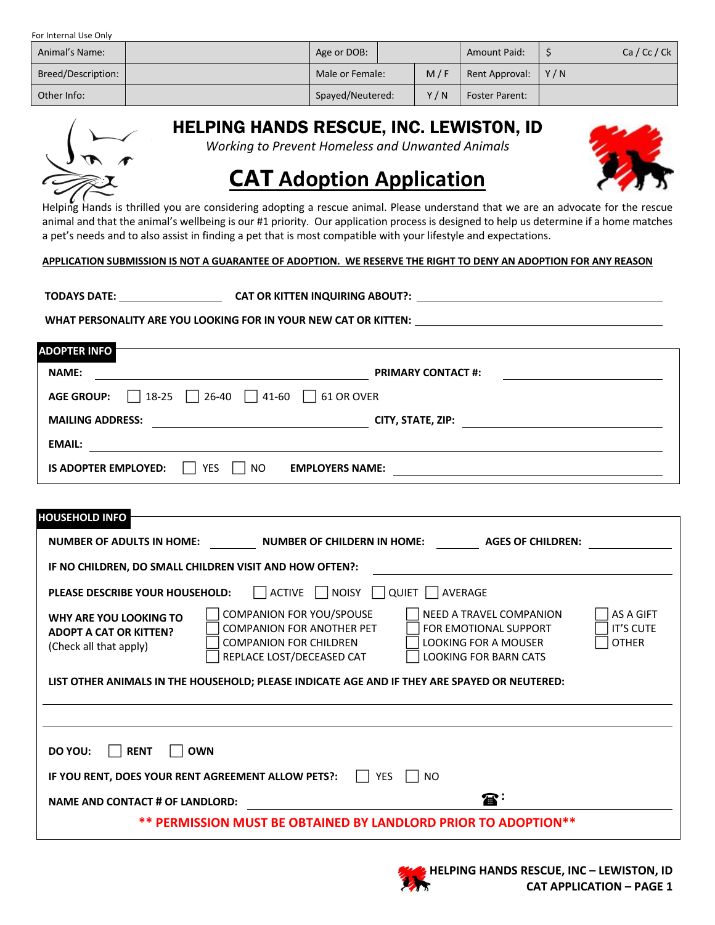For Internal Use Only

| Animal's Name:     | Age or DOB:      |  |     | <b>Amount Paid:</b>   |             | Ca/Cc/Ck |
|--------------------|------------------|--|-----|-----------------------|-------------|----------|
| Breed/Description: | Male or Female:  |  | M/F | Rent Approval:        | $\vert$ Y/N |          |
| Other Info:        | Spayed/Neutered: |  | Y/N | <b>Foster Parent:</b> |             |          |

HELPING HANDS RESCUE, INC. LEWISTON, ID

*Working to Prevent Homeless and Unwanted Animals*



## **CAT Adoption Application**

Helping Hands is thrilled you are considering adopting a rescue animal. Please understand that we are an advocate for the rescue animal and that the animal's wellbeing is our #1 priority. Our application process is designed to help us determine if a home matches a pet's needs and to also assist in finding a pet that is most compatible with your lifestyle and expectations.

## **APPLICATION SUBMISSION IS NOT A GUARANTEE OF ADOPTION. WE RESERVE THE RIGHT TO DENY AN ADOPTION FOR ANY REASON**

**TODAYS DATE: CAT OR KITTEN INQUIRING ABOUT?: A**

WHAT PERSONALITY ARE YOU LOOKING FOR IN YOUR NEW CAT OR KITTEN: **ARE IN ARRIST AND ARRIST ARRIST OF A A** 

| <b>DOPTER INFO</b> i                                                             |                           |
|----------------------------------------------------------------------------------|---------------------------|
| <b>NAME:</b>                                                                     | <b>PRIMARY CONTACT #:</b> |
| $\Box$ 26-40 $\Box$ 41-60 $\Box$ 61 OR OVER<br>$\Box$ 18-25<br><b>AGE GROUP:</b> |                           |
| <b>MAILING ADDRESS:</b>                                                          | CITY, STATE, ZIP:         |
| <b>EMAIL:</b>                                                                    |                           |
| <b>IS ADOPTER EMPLOYED:</b><br><b>YES</b><br><b>EMPLOYERS NAME:</b><br>NO.       |                           |

| <b>HOUSEHOLD INFO</b>                                                                        |                                                                                                                                   |                                                                                                                                                                         |  |  |  |  |
|----------------------------------------------------------------------------------------------|-----------------------------------------------------------------------------------------------------------------------------------|-------------------------------------------------------------------------------------------------------------------------------------------------------------------------|--|--|--|--|
| <b>NUMBER OF ADULTS IN HOME:</b>                                                             | NUMBER OF CHILDERN IN HOME:                                                                                                       | <b>AGES OF CHILDREN:</b>                                                                                                                                                |  |  |  |  |
| IF NO CHILDREN, DO SMALL CHILDREN VISIT AND HOW OFTEN?:                                      |                                                                                                                                   |                                                                                                                                                                         |  |  |  |  |
| ACTIVE NOISY QUIET AVERAGE<br>PLEASE DESCRIBE YOUR HOUSEHOLD:                                |                                                                                                                                   |                                                                                                                                                                         |  |  |  |  |
| WHY ARE YOU LOOKING TO<br><b>ADOPT A CAT OR KITTEN?</b><br>(Check all that apply)            | <b>COMPANION FOR YOU/SPOUSE</b><br><b>COMPANION FOR ANOTHER PET</b><br><b>COMPANION FOR CHILDREN</b><br>REPLACE LOST/DECEASED CAT | <b>AS A GIFT</b><br>NEED A TRAVEL COMPANION<br><b>IT'S CUTE</b><br>FOR EMOTIONAL SUPPORT<br><b>LOOKING FOR A MOUSER</b><br><b>OTHER</b><br><b>LOOKING FOR BARN CATS</b> |  |  |  |  |
| LIST OTHER ANIMALS IN THE HOUSEHOLD; PLEASE INDICATE AGE AND IF THEY ARE SPAYED OR NEUTERED: |                                                                                                                                   |                                                                                                                                                                         |  |  |  |  |
|                                                                                              |                                                                                                                                   |                                                                                                                                                                         |  |  |  |  |
| DO YOU:<br><b>OWN</b><br><b>RENT</b>                                                         |                                                                                                                                   |                                                                                                                                                                         |  |  |  |  |
| IF YOU RENT, DOES YOUR RENT AGREEMENT ALLOW PETS?:<br><b>YES</b><br><b>NO</b>                |                                                                                                                                   |                                                                                                                                                                         |  |  |  |  |
| <b>NAME AND CONTACT # OF LANDLORD:</b>                                                       |                                                                                                                                   | $\mathbf{B}$ :                                                                                                                                                          |  |  |  |  |
| ** PERMISSION MUST BE OBTAINED BY LANDLORD PRIOR TO ADOPTION**                               |                                                                                                                                   |                                                                                                                                                                         |  |  |  |  |